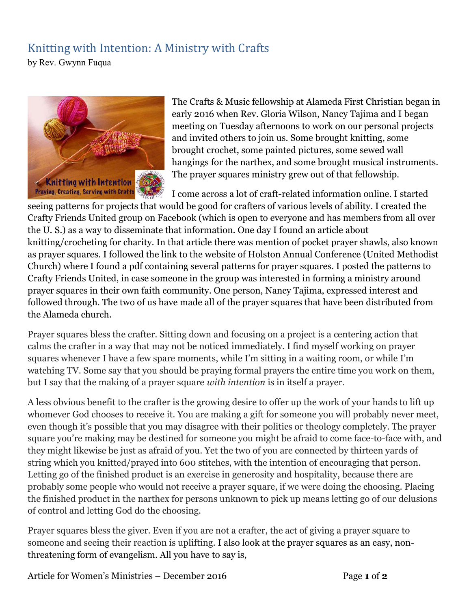## Knitting with Intention: A Ministry with Crafts

by Rev. Gwynn Fuqua



The Crafts & Music fellowship at Alameda First Christian began in early 2016 when Rev. Gloria Wilson, Nancy Tajima and I began meeting on Tuesday afternoons to work on our personal projects and invited others to join us. Some brought knitting, some brought crochet, some painted pictures, some sewed wall hangings for the narthex, and some brought musical instruments. The prayer squares ministry grew out of that fellowship.

I come across a lot of craft-related information online. I started seeing patterns for projects that would be good for crafters of various levels of ability. I created the Crafty Friends United group on Facebook (which is open to everyone and has members from all over the U. S.) as a way to disseminate that information. One day I found an article about knitting/crocheting for charity. In that article there was mention of pocket prayer shawls, also known as prayer squares. I followed the link to the website of Holston Annual Conference (United Methodist Church) where I found a pdf containing several patterns for prayer squares. I posted the patterns to Crafty Friends United, in case someone in the group was interested in forming a ministry around prayer squares in their own faith community. One person, Nancy Tajima, expressed interest and followed through. The two of us have made all of the prayer squares that have been distributed from the Alameda church.

Prayer squares bless the crafter. Sitting down and focusing on a project is a centering action that calms the crafter in a way that may not be noticed immediately. I find myself working on prayer squares whenever I have a few spare moments, while I'm sitting in a waiting room, or while I'm watching TV. Some say that you should be praying formal prayers the entire time you work on them, but I say that the making of a prayer square *with intention* is in itself a prayer.

A less obvious benefit to the crafter is the growing desire to offer up the work of your hands to lift up whomever God chooses to receive it. You are making a gift for someone you will probably never meet, even though it's possible that you may disagree with their politics or theology completely. The prayer square you're making may be destined for someone you might be afraid to come face-to-face with, and they might likewise be just as afraid of you. Yet the two of you are connected by thirteen yards of string which you knitted/prayed into 600 stitches, with the intention of encouraging that person. Letting go of the finished product is an exercise in generosity and hospitality, because there are probably some people who would not receive a prayer square, if we were doing the choosing. Placing the finished product in the narthex for persons unknown to pick up means letting go of our delusions of control and letting God do the choosing.

Prayer squares bless the giver. Even if you are not a crafter, the act of giving a prayer square to someone and seeing their reaction is uplifting. I also look at the prayer squares as an easy, nonthreatening form of evangelism. All you have to say is,

Article for Women's Ministries – December 2016 Page 1 of 2